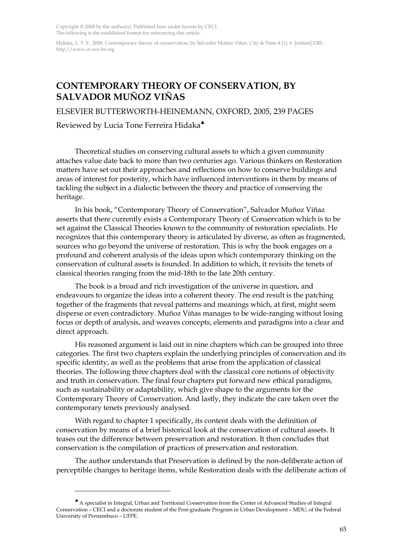Copyright © 2008 by the author(s). Published here under license by CECI. The following is the established format for referencing this article:

Hidaka, L. T. F.. 2008. Contemporary theory of conservation, by Salvador Muñoz Viñas. City & Time 4 (1): 6. [online] URL: http://www.ct.ceci-br.org

## **CONTEMPORARY THEORY OF CONSERVATION, BY SALVADOR MUÑOZ VIÑAS**

ELSEVIER BUTTERWORTH-HEINEMANN, OXFORD, 2005, 239 PAGES

Reviewed by Lucia Tone Ferreira Hidaka♣

Theoretical studies on conserving cultural assets to which a given community attaches value date back to more than two centuries ago. Various thinkers on Restoration matters have set out their approaches and reflections on how to conserve buildings and areas of interest for posterity, which have influenced interventions in them by means of tackling the subject in a dialectic between the theory and practice of conserving the heritage.

In his book, "Contemporary Theory of Conservation", Salvador Muñoz Viñaz asserts that there currently exists a Contemporary Theory of Conservation which is to be set against the Classical Theories known to the community of restoration specialists. He recognizes that this contemporary theory is articulated by diverse, as often as fragmented, sources who go beyond the universe of restoration. This is why the book engages on a profound and coherent analysis of the ideas upon which contemporary thinking on the conservation of cultural assets is founded. In addition to which, it revisits the tenets of classical theories ranging from the mid-18th to the late 20th century.

The book is a broad and rich investigation of the universe in question, and endeavours to organize the ideas into a coherent theory. The end result is the patching together of the fragments that reveal patterns and meanings which, at first, might seem disperse or even contradictory. Muñoz Viñas manages to be wide-ranging without losing focus or depth of analysis, and weaves concepts, elements and paradigms into a clear and direct approach.

His reasoned argument is laid out in nine chapters which can be grouped into three categories. The first two chapters explain the underlying principles of conservation and its specific identity, as well as the problems that arise from the application of classical theories. The following three chapters deal with the classical core notions of objectivity and truth in conservation. The final four chapters put forward new ethical paradigms, such as sustainability or adaptability, which give shape to the arguments for the Contemporary Theory of Conservation. And lastly, they indicate the care taken over the contemporary tenets previously analysed.

With regard to chapter 1 specifically, its content deals with the definition of conservation by means of a brief historical look at the conservation of cultural assets. It teases out the difference between preservation and restoration. It then concludes that conservation is the compilation of practices of preservation and restoration.

The author understands that Preservation is defined by the non-deliberate action of perceptible changes to heritage items, while Restoration deals with the deliberate action of

 $\overline{a}$ 

<sup>♣</sup> A specialist in Integral, Urban and Territorial Conservation from the Center of Advanced Studies of Integral Conservation – CECI and a doctorate student of the Post-graduate Program in Urban Development – MDU, of the Federal University of Pernambuco – UFPE.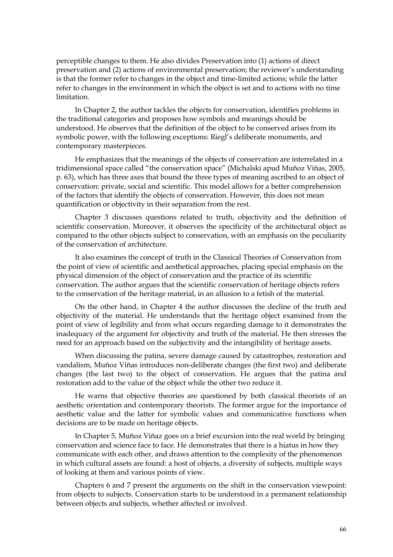perceptible changes to them. He also divides Preservation into (1) actions of direct preservation and (2) actions of environmental preservation; the reviewer's understanding is that the former refer to changes in the object and time-limited actions; while the latter refer to changes in the environment in which the object is set and to actions with no time limitation.

In Chapter 2, the author tackles the objects for conservation, identifies problems in the traditional categories and proposes how symbols and meanings should be understood. He observes that the definition of the object to be conserved arises from its symbolic power, with the following exceptions: Riegl's deliberate monuments, and contemporary masterpieces.

He emphasizes that the meanings of the objects of conservation are interrelated in a tridimensional space called "the conservation space" (Michalski apud Muñoz Viñas, 2005, p. 63), which has three axes that bound the three types of meaning ascribed to an object of conservation: private, social and scientific. This model allows for a better comprehension of the factors that identify the objects of conservation. However, this does not mean quantification or objectivity in their separation from the rest.

Chapter 3 discusses questions related to truth, objectivity and the definition of scientific conservation. Moreover, it observes the specificity of the architectural object as compared to the other objects subject to conservation, with an emphasis on the peculiarity of the conservation of architecture.

It also examines the concept of truth in the Classical Theories of Conservation from the point of view of scientific and aesthetical approaches, placing special emphasis on the physical dimension of the object of conservation and the practice of its scientific conservation. The author argues that the scientific conservation of heritage objects refers to the conservation of the heritage material, in an allusion to a fetish of the material.

On the other hand, in Chapter 4 the author discusses the decline of the truth and objectivity of the material. He understands that the heritage object examined from the point of view of legibility and from what occurs regarding damage to it demonstrates the inadequacy of the argument for objectivity and truth of the material. He then stresses the need for an approach based on the subjectivity and the intangibility of heritage assets.

When discussing the patina, severe damage caused by catastrophes, restoration and vandalism, Muñoz Viñas introduces non-deliberate changes (the first two) and deliberate changes (the last two) to the object of conservation. He argues that the patina and restoration add to the value of the object while the other two reduce it.

He warns that objective theories are questioned by both classical theorists of an aesthetic orientation and contemporary theorists. The former argue for the importance of aesthetic value and the latter for symbolic values and communicative functions when decisions are to be made on heritage objects.

In Chapter 5, Muñoz Viñaz goes on a brief excursion into the real world by bringing conservation and science face to face. He demonstrates that there is a hiatus in how they communicate with each other, and draws attention to the complexity of the phenomenon in which cultural assets are found: a host of objects, a diversity of subjects, multiple ways of looking at them and various points of view.

Chapters 6 and 7 present the arguments on the shift in the conservation viewpoint: from objects to subjects. Conservation starts to be understood in a permanent relationship between objects and subjects, whether affected or involved.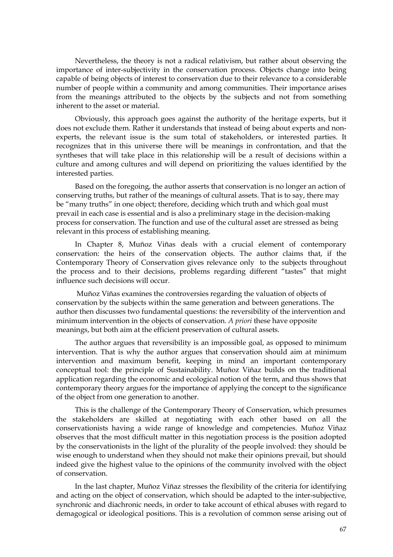Nevertheless, the theory is not a radical relativism, but rather about observing the importance of inter-subjectivity in the conservation process. Objects change into being capable of being objects of interest to conservation due to their relevance to a considerable number of people within a community and among communities. Their importance arises from the meanings attributed to the objects by the subjects and not from something inherent to the asset or material.

Obviously, this approach goes against the authority of the heritage experts, but it does not exclude them. Rather it understands that instead of being about experts and nonexperts, the relevant issue is the sum total of stakeholders, or interested parties. It recognizes that in this universe there will be meanings in confrontation, and that the syntheses that will take place in this relationship will be a result of decisions within a culture and among cultures and will depend on prioritizing the values identified by the interested parties.

Based on the foregoing, the author asserts that conservation is no longer an action of conserving truths, but rather of the meanings of cultural assets. That is to say, there may be "many truths" in one object; therefore, deciding which truth and which goal must prevail in each case is essential and is also a preliminary stage in the decision-making process for conservation. The function and use of the cultural asset are stressed as being relevant in this process of establishing meaning.

In Chapter 8, Muñoz Viñas deals with a crucial element of contemporary conservation: the heirs of the conservation objects. The author claims that, if the Contemporary Theory of Conservation gives relevance only to the subjects throughout the process and to their decisions, problems regarding different "tastes" that might influence such decisions will occur.

 Muñoz Viñas examines the controversies regarding the valuation of objects of conservation by the subjects within the same generation and between generations. The author then discusses two fundamental questions: the reversibility of the intervention and minimum intervention in the objects of conservation. *A priori* these have opposite meanings, but both aim at the efficient preservation of cultural assets.

The author argues that reversibility is an impossible goal, as opposed to minimum intervention. That is why the author argues that conservation should aim at minimum intervention and maximum benefit, keeping in mind an important contemporary conceptual tool: the principle of Sustainability. Muñoz Viñaz builds on the traditional application regarding the economic and ecological notion of the term, and thus shows that contemporary theory argues for the importance of applying the concept to the significance of the object from one generation to another.

This is the challenge of the Contemporary Theory of Conservation, which presumes the stakeholders are skilled at negotiating with each other based on all the conservationists having a wide range of knowledge and competencies. Muñoz Viñaz observes that the most difficult matter in this negotiation process is the position adopted by the conservationists in the light of the plurality of the people involved: they should be wise enough to understand when they should not make their opinions prevail, but should indeed give the highest value to the opinions of the community involved with the object of conservation.

In the last chapter, Muñoz Viñaz stresses the flexibility of the criteria for identifying and acting on the object of conservation, which should be adapted to the inter-subjective, synchronic and diachronic needs, in order to take account of ethical abuses with regard to demagogical or ideological positions. This is a revolution of common sense arising out of